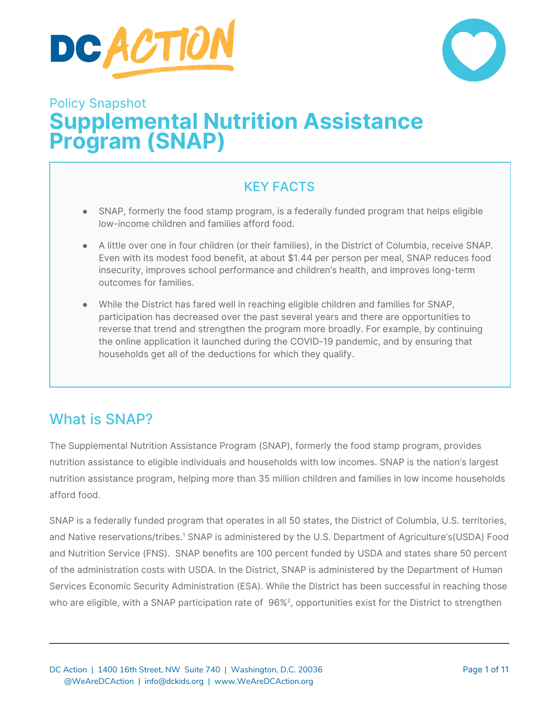



# Policy Snapshot **Supplemental Nutrition Assistance Program (SNAP)**

## KEY FACTS

- SNAP, formerly the food stamp program, is a federally funded program that helps eligible low-income children and families afford food.
- A little over one in four children (or their families), in the District of Columbia, receive SNAP. Even with its modest food benefit, at about \$1.44 per person per meal, SNAP reduces food insecurity, improves school performance and children's health, and improves long-term outcomes for families.
- While the District has fared well in reaching eligible children and families for SNAP, participation has decreased over the past several years and there are opportunities to reverse that trend and strengthen the program more broadly. For example, by continuing the online application it launched during the COVID-19 pandemic, and by ensuring that households get all of the deductions for which they qualify.

# What is SNAP?

The Supplemental Nutrition Assistance Program (SNAP), formerly the food stamp program, provides nutrition assistance to eligible individuals and households with low incomes. SNAP is the nation's largest nutrition assistance program, helping more than 35 million children and families in low income households afford food.

SNAP is a federally funded program that operates in all 50 states, the District of Columbia, U.S. territories, and Native reservations/tribes. <sup>1</sup> SNAP is administered by the U.S. Department of Agriculture's(USDA) Food and Nutrition Service (FNS). SNAP benefits are 100 percent funded by USDA and states share 50 percent of the administration costs with USDA. In the District, SNAP is administered by the Department of Human Services Economic Security Administration (ESA). While the District has been successful in reaching those who are eligible, with a SNAP participation rate of  $.96\%$ ?, opportunities exist for the District to strengthen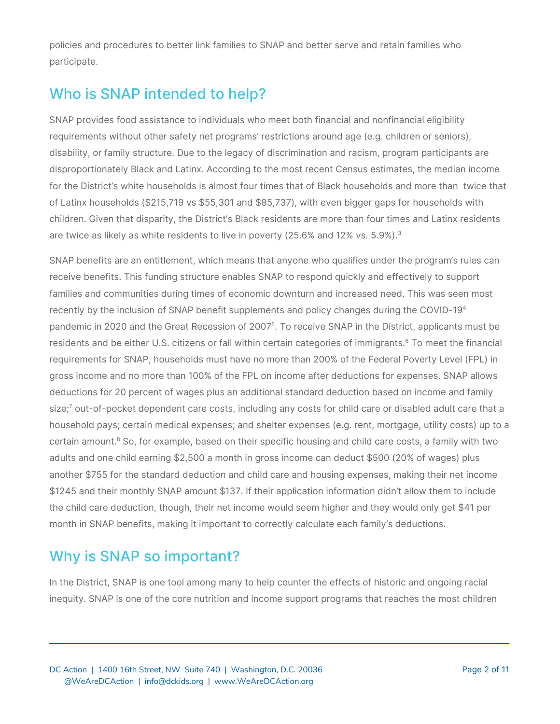policies and procedures to better link families to SNAP and better serve and retain families who participate.

# Who is SNAP intended to help?

SNAP provides food assistance to individuals who meet both financial and nonfinancial eligibility requirements without other safety net programs' restrictions around age (e.g. children or seniors), disability, or family structure. Due to the legacy of discrimination and racism, program participants are disproportionately Black and Latinx. According to the most recent Census estimates, the median income for the District's white households is almost four times that of Black households and more than twice that of Latinx households (\$215,719 vs \$55,301 and \$85,737), with even bigger gaps for households with children. Given that disparity, the District's Black residents are more than four times and Latinx residents are twice as likely as white residents to live in poverty (25.6% and 12% vs. 5.9%). $^{\rm 3}$ 

SNAP benefits are an entitlement, which means that anyone who qualifies under the program's rules can receive benefits. This funding structure enables SNAP to respond quickly and effectively to support families and communities during times of economic downturn and increased need. This was seen most recently by the inclusion of SNAP benefit supplements and policy changes during the COVID-19<sup>4</sup> pandemic in 2020 and the Great Recession of 2007<sup>5</sup>. To receive SNAP in the District, applicants must be residents and be either U.S. citizens or fall within certain categories of immigrants. <sup>6</sup> To meet the financial requirements for SNAP, households must have no more than 200% of the Federal Poverty Level (FPL) in gross income and no more than 100% of the FPL on income after deductions for expenses. SNAP allows deductions for 20 percent of wages plus an additional standard deduction based on income and family size; <sup>7</sup> out-of-pocket dependent care costs, including any costs for child care or disabled adult care that a household pays; certain medical expenses; and shelter expenses (e.g. rent, mortgage, utility costs) up to a certain amount. <sup>8</sup> So, for example, based on their specific housing and child care costs, a family with two adults and one child earning \$2,500 a month in gross income can deduct \$500 (20% of wages) plus another \$755 for the standard deduction and child care and housing expenses, making their net income \$1245 and their monthly SNAP amount \$137. If their application information didn't allow them to include the child care deduction, though, their net income would seem higher and they would only get \$41 per month in SNAP benefits, making it important to correctly calculate each family's deductions.

# Why is SNAP so important?

In the District, SNAP is one tool among many to help counter the effects of historic and ongoing racial inequity. SNAP is one of the core nutrition and income support programs that reaches the most children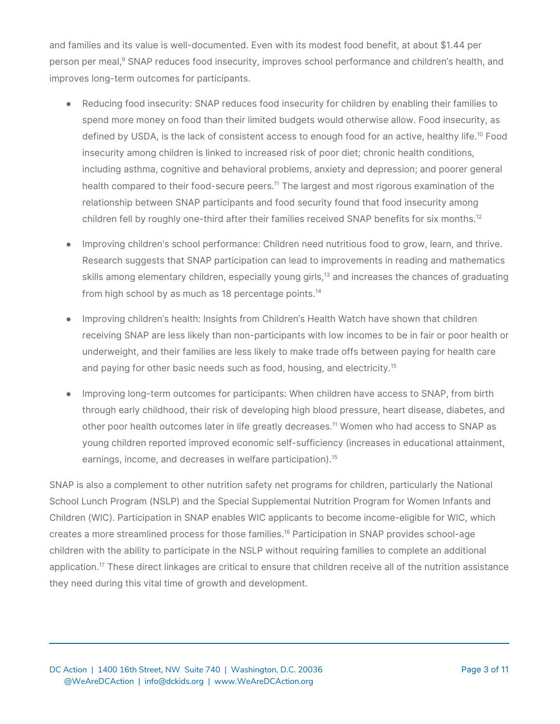and families and its value is well-documented. Even with its modest food benefit, at about \$1.44 per person per meal, <sup>9</sup> SNAP reduces food insecurity, improves school performance and children's health, and improves long-term outcomes for participants.

- Reducing food insecurity: SNAP reduces food insecurity for children by enabling their families to spend more money on food than their limited budgets would otherwise allow. Food insecurity, as defined by USDA, is the lack of consistent access to enough food for an active, healthy life. <sup>10</sup> Food insecurity among children is linked to increased risk of poor diet; chronic health conditions, including asthma, cognitive and behavioral problems, anxiety and depression; and poorer general health compared to their food-secure peers. <sup>11</sup> The largest and most rigorous examination of the relationship between SNAP participants and food security found that food insecurity among children fell by roughly one-third after their families received SNAP benefits for six months.<sup>12</sup>
- Improving children's school performance: Children need nutritious food to grow, learn, and thrive. Research suggests that SNAP participation can lead to improvements in reading and mathematics skills among elementary children, especially young girls,<sup>13</sup> and increases the chances of graduating from high school by as much as 18 percentage points. 14
- Improving children's health: Insights from Children's Health Watch have shown that children receiving SNAP are less likely than non-participants with low incomes to be in fair or poor health or underweight, and their families are less likely to make trade offs between paying for health care and paying for other basic needs such as food, housing, and electricity. 15
- Improving long-term outcomes for participants: When children have access to SNAP, from birth through early childhood, their risk of developing high blood pressure, heart disease, diabetes, and other poor health outcomes later in life greatly decreases. <sup>11</sup> Women who had access to SNAP as young children reported improved economic self-sufficiency (increases in educational attainment, earnings, income, and decreases in welfare participation). 15

SNAP is also a complement to other nutrition safety net programs for children, particularly the National School Lunch Program (NSLP) and the Special Supplemental Nutrition Program for Women Infants and Children (WIC). Participation in SNAP enables WIC applicants to become income-eligible for WIC, which creates a more streamlined process for those families. <sup>16</sup> Participation in SNAP provides school-age children with the ability to participate in the NSLP without requiring families to complete an additional application.<sup>17</sup> These direct linkages are critical to ensure that children receive all of the nutrition assistance they need during this vital time of growth and development.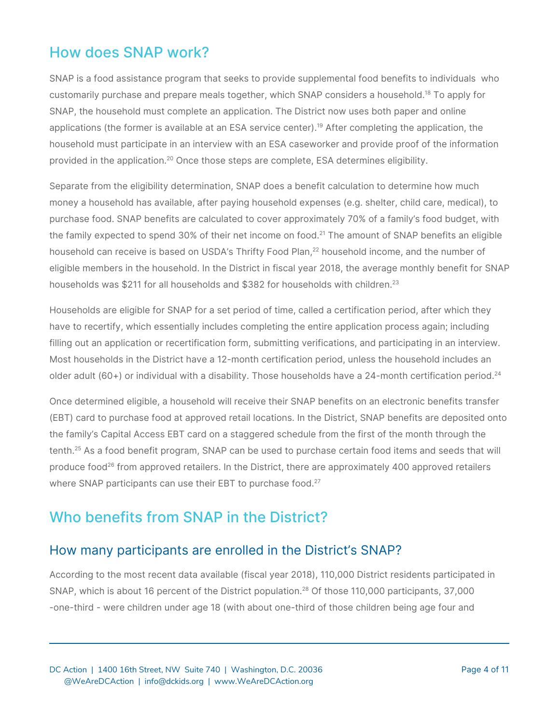# How does SNAP work?

SNAP is a food assistance program that seeks to provide supplemental food benefits to individuals who customarily purchase and prepare meals together, which SNAP considers a household. <sup>18</sup> To apply for SNAP, the household must complete an application. The District now uses both paper and online applications (the former is available at an ESA service center). <sup>19</sup> After completing the application, the household must participate in an interview with an ESA caseworker and provide proof of the information provided in the application. <sup>20</sup> Once those steps are complete, ESA determines eligibility.

Separate from the eligibility determination, SNAP does a benefit calculation to determine how much money a household has available, after paying household expenses (e.g. shelter, child care, medical), to purchase food. SNAP benefits are calculated to cover approximately 70% of a family's food budget, with the family expected to spend 30% of their net income on food.<sup>21</sup> The amount of SNAP benefits an eligible household can receive is based on USDA's Thrifty Food Plan, <sup>22</sup> household income, and the number of eligible members in the household. In the District in fiscal year 2018, the average monthly benefit for SNAP households was \$211 for all households and \$382 for households with children.<sup>23</sup>

Households are eligible for SNAP for a set period of time, called a certification period, after which they have to recertify, which essentially includes completing the entire application process again; including filling out an application or recertification form, submitting verifications, and participating in an interview. Most households in the District have a 12-month certification period, unless the household includes an older adult (60+) or individual with a disability. Those households have a 24-month certification period. $^{24}$ 

Once determined eligible, a household will receive their SNAP benefits on an electronic benefits transfer (EBT) card to purchase food at approved retail locations. In the District, SNAP benefits are deposited onto the family's Capital Access EBT card on a staggered schedule from the first of the month through the tenth. <sup>25</sup> As a food benefit program, SNAP can be used to purchase certain food items and seeds that will produce food<sup>26</sup> from approved retailers. In the District, there are approximately 400 approved retailers where SNAP participants can use their EBT to purchase food.<sup>27</sup>

# Who benefits from SNAP in the District?

## How many participants are enrolled in the District's SNAP?

According to the most recent data available (fiscal year 2018), 110,000 District residents participated in SNAP, which is about 16 percent of the District population. <sup>28</sup> Of those 110,000 participants, 37,000 -one-third - were children under age 18 (with about one-third of those children being age four and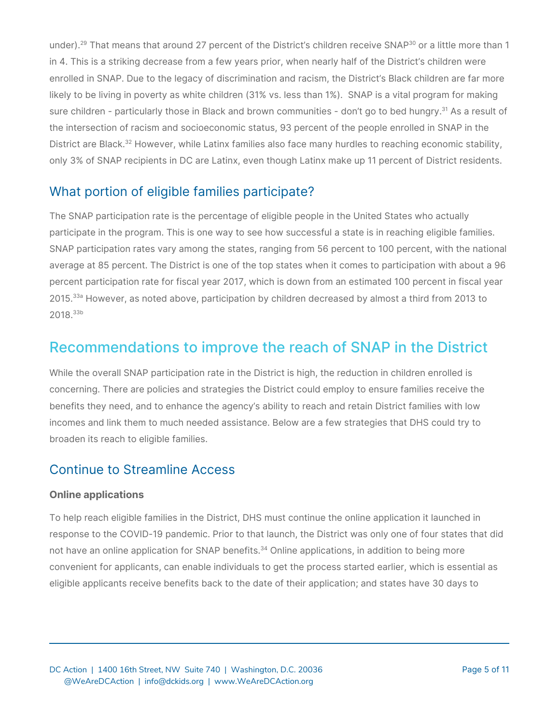under).<sup>29</sup> That means that around 27 percent of the District's children receive SNAP<sup>30</sup> or a little more than 1 in 4. This is a striking decrease from a few years prior, when nearly half of the District's children were enrolled in SNAP. Due to the legacy of discrimination and racism, the District's Black children are far more likely to be living in poverty as white children (31% vs. less than 1%). SNAP is a vital program for making sure children - particularly those in Black and brown communities - don't go to bed hungry.<sup>31</sup> As a result of the intersection of racism and socioeconomic status, 93 percent of the people enrolled in SNAP in the District are Black.<sup>32</sup> However, while Latinx families also face many hurdles to reaching economic stability, only 3% of SNAP recipients in DC are Latinx, even though Latinx make up 11 percent of District residents.

## What portion of eligible families participate?

The SNAP participation rate is the percentage of eligible people in the United States who actually participate in the program. This is one way to see how successful a state is in reaching eligible families. SNAP participation rates vary among the states, ranging from 56 percent to 100 percent, with the national average at 85 percent. The District is one of the top states when it comes to participation with about a 96 percent participation rate for fiscal year 2017, which is down from an estimated 100 percent in fiscal year 2015. 33a However, as noted above, participation by children decreased by almost a third from 2013 to 2018. 33b

## Recommendations to improve the reach of SNAP in the District

While the overall SNAP participation rate in the District is high, the reduction in children enrolled is concerning. There are policies and strategies the District could employ to ensure families receive the benefits they need, and to enhance the agency's ability to reach and retain District families with low incomes and link them to much needed assistance. Below are a few strategies that DHS could try to broaden its reach to eligible families.

## Continue to Streamline Access

### **Online applications**

To help reach eligible families in the District, DHS must continue the online application it launched in response to the COVID-19 pandemic. Prior to that launch, the District was only one of four states that did not have an online application for SNAP benefits.<sup>34</sup> Online applications, in addition to being more convenient for applicants, can enable individuals to get the process started earlier, which is essential as eligible applicants receive benefits back to the date of their application; and states have 30 days to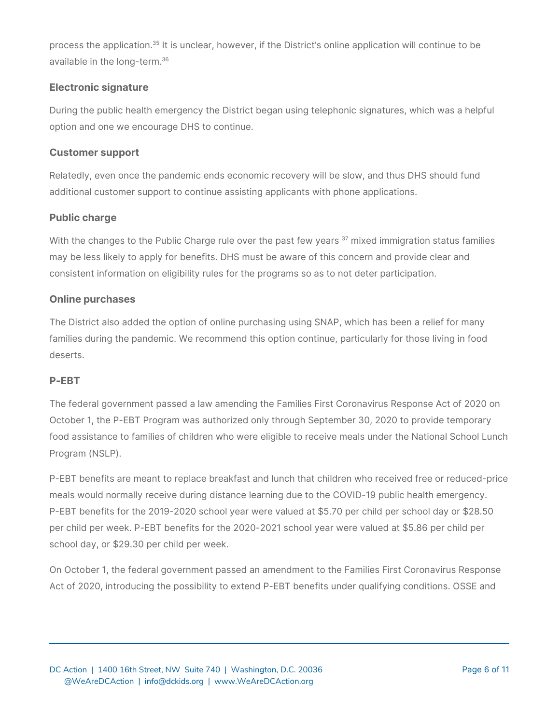process the application.<sup>35</sup> It is unclear, however, if the District's online application will continue to be available in the long-term. 36

### **Electronic signature**

During the public health emergency the District began using telephonic signatures, which was a helpful option and one we encourage DHS to continue.

### **Customer support**

Relatedly, even once the pandemic ends economic recovery will be slow, and thus DHS should fund additional customer support to continue assisting applicants with phone applications.

### **Public charge**

With the changes to the Public Charge rule over the past few years  $^{\rm 37}$  mixed immigration status families may be less likely to apply for benefits. DHS must be aware of this concern and provide clear and consistent information on eligibility rules for the programs so as to not deter participation.

### **Online purchases**

The District also added the option of online purchasing using SNAP, which has been a relief for many families during the pandemic. We recommend this option continue, particularly for those living in food deserts.

### **P-EBT**

The federal government passed a law amending the Families First Coronavirus Response Act of 2020 on October 1, the P-EBT Program was authorized only through September 30, 2020 to provide temporary food assistance to families of children who were eligible to receive meals under the National School Lunch Program (NSLP).

P-EBT benefits are meant to replace breakfast and lunch that children who received free or reduced-price meals would normally receive during distance learning due to the COVID-19 public health emergency. P-EBT benefits for the 2019-2020 school year were valued at \$5.70 per child per school day or \$28.50 per child per week. P-EBT benefits for the 2020-2021 school year were valued at \$5.86 per child per school day, or \$29.30 per child per week.

On October 1, the federal government passed an amendment to the Families First Coronavirus Response Act of 2020, introducing the possibility to extend P-EBT benefits under qualifying conditions. OSSE and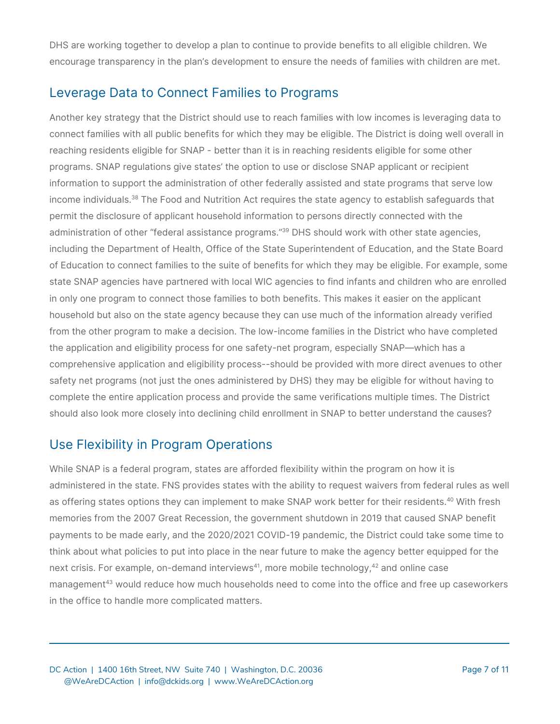DHS are working together to develop a plan to continue to provide benefits to all eligible children. We encourage transparency in the plan's development to ensure the needs of families with children are met.

## Leverage Data to Connect Families to Programs

Another key strategy that the District should use to reach families with low incomes is leveraging data to connect families with all public benefits for which they may be eligible. The District is doing well overall in reaching residents eligible for SNAP - better than it is in reaching residents eligible for some other programs. SNAP regulations give states' the option to use or disclose SNAP applicant or recipient information to support the administration of other federally assisted and state programs that serve low income individuals. <sup>38</sup> The Food and Nutrition Act requires the state agency to establish safeguards that permit the disclosure of applicant household information to persons directly connected with the administration of other "federal assistance programs."<sup>39</sup> DHS should work with other state agencies, including the Department of Health, Office of the State Superintendent of Education, and the State Board of Education to connect families to the suite of benefits for which they may be eligible. For example, some state SNAP agencies have partnered with local WIC agencies to find infants and children who are enrolled in only one program to connect those families to both benefits. This makes it easier on the applicant household but also on the state agency because they can use much of the information already verified from the other program to make a decision. The low-income families in the District who have completed the application and eligibility process for one safety-net program, especially SNAP—which has a comprehensive application and eligibility process--should be provided with more direct avenues to other safety net programs (not just the ones administered by DHS) they may be eligible for without having to complete the entire application process and provide the same verifications multiple times. The District should also look more closely into declining child enrollment in SNAP to better understand the causes?

## Use Flexibility in Program Operations

While SNAP is a federal program, states are afforded flexibility within the program on how it is administered in the state. FNS provides states with the ability to request waivers from federal rules as well as offering states options they can implement to make SNAP work better for their residents. <sup>40</sup> With fresh memories from the 2007 Great Recession, the government shutdown in 2019 that caused SNAP benefit payments to be made early, and the 2020/2021 COVID-19 pandemic, the District could take some time to think about what policies to put into place in the near future to make the agency better equipped for the next crisis. For example, on-demand interviews<sup>41</sup>, more mobile technology,<sup>42</sup> and online case management $^{\rm 43}$  would reduce how much households need to come into the office and free up caseworkers in the office to handle more complicated matters.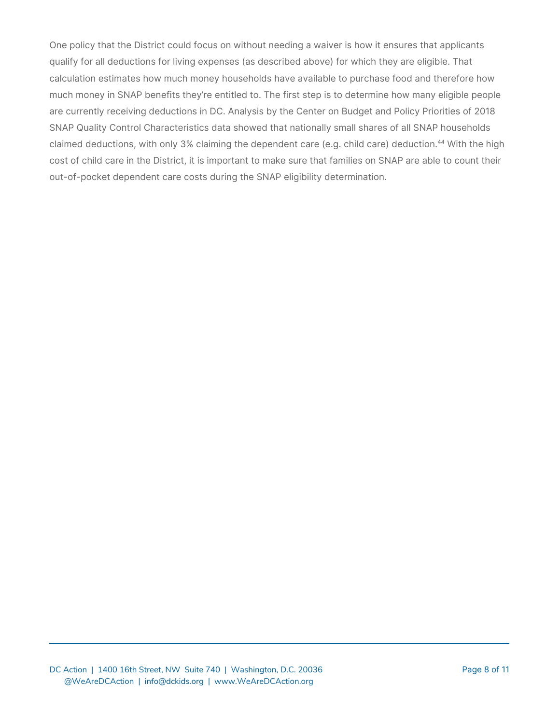One policy that the District could focus on without needing a waiver is how it ensures that applicants qualify for all deductions for living expenses (as described above) for which they are eligible. That calculation estimates how much money households have available to purchase food and therefore how much money in SNAP benefits they're entitled to. The first step is to determine how many eligible people are currently receiving deductions in DC. Analysis by the Center on Budget and Policy Priorities of 2018 SNAP Quality Control Characteristics data showed that nationally small shares of all SNAP households claimed deductions, with only 3% claiming the dependent care (e.g. child care) deduction. <sup>44</sup> With the high cost of child care in the District, it is important to make sure that families on SNAP are able to count their out-of-pocket dependent care costs during the SNAP eligibility determination.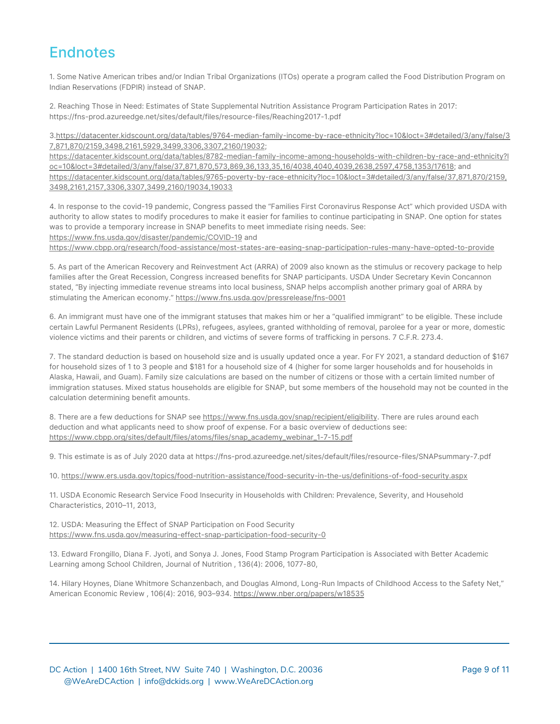# **Endnotes**

1. Some Native American tribes and/or Indian Tribal Organizations (ITOs) operate a program called the Food Distribution Program on Indian Reservations (FDPIR) instead of SNAP.

2. Reaching Those in Need: Estimates of State Supplemental Nutrition Assistance Program Participation Rates in 2017: https://fns-prod.azureedge.net/sites/default/files/resource-files/Reaching2017-1.pdf

3.[https://datacenter.kidscount.org/data/tables/9764-median-family-income-by-race-ethnicity?loc=10&loct=3#detailed/3/any/false/3](https://datacenter.kidscount.org/data/tables/9764-median-family-income-by-race-ethnicity?loc=10&loct=3#detailed/3/any/false/37,871,870/2159,3498,2161,5929,3499,3306,3307,2160/19032) [7,871,870/2159,3498,2161,5929,3499,3306,3307,2160/19032;](https://datacenter.kidscount.org/data/tables/9764-median-family-income-by-race-ethnicity?loc=10&loct=3#detailed/3/any/false/37,871,870/2159,3498,2161,5929,3499,3306,3307,2160/19032)

[https://datacenter.kidscount.org/data/tables/8782-median-family-income-among-households-with-children-by-race-and-ethnicity?l](https://datacenter.kidscount.org/data/tables/8782-median-family-income-among-households-with-children-by-race-and-ethnicity?loc=10&loct=3#detailed/3/any/false/37,871,870,573,869,36,133,35,16/4038,4040,4039,2638,2597,4758,1353/17618) [oc=10&loct=3#detailed/3/any/false/37,871,870,573,869,36,133,35,16/4038,4040,4039,2638,2597,4758,1353/17618](https://datacenter.kidscount.org/data/tables/8782-median-family-income-among-households-with-children-by-race-and-ethnicity?loc=10&loct=3#detailed/3/any/false/37,871,870,573,869,36,133,35,16/4038,4040,4039,2638,2597,4758,1353/17618); and [https://datacenter.kidscount.org/data/tables/9765-poverty-by-race-ethnicity?loc=10&loct=3#detailed/3/any/false/37,871,870/2159,](https://datacenter.kidscount.org/data/tables/9765-poverty-by-race-ethnicity?loc=10&loct=3#detailed/3/any/false/37,871,870/2159,3498,2161,2157,3306,3307,3499,2160/19034,19033) [3498,2161,2157,3306,3307,3499,2160/19034,19033](https://datacenter.kidscount.org/data/tables/9765-poverty-by-race-ethnicity?loc=10&loct=3#detailed/3/any/false/37,871,870/2159,3498,2161,2157,3306,3307,3499,2160/19034,19033)

4. In response to the covid-19 pandemic, Congress passed the "Families First Coronavirus Response Act" which provided USDA with authority to allow states to modify procedures to make it easier for families to continue participating in SNAP. One option for states was to provide a temporary increase in SNAP benefits to meet immediate rising needs. See: [https://www.fns.usda.gov/disaster/pandemic/COVID-19](https://www.fns.usda.gov/disaster/pandemic/covid-19) and

<https://www.cbpp.org/research/food-assistance/most-states-are-easing-snap-participation-rules-many-have-opted-to-provide>

5. As part of the American Recovery and Reinvestment Act (ARRA) of 2009 also known as the stimulus or recovery package to help families after the Great Recession, Congress increased benefits for SNAP participants. USDA Under Secretary Kevin Concannon stated, "By injecting immediate revenue streams into local business, SNAP helps accomplish another primary goal of ARRA by stimulating the American economy." <https://www.fns.usda.gov/pressrelease/fns-0001>

6. An immigrant must have one of the immigrant statuses that makes him or her a "qualified immigrant" to be eligible. These include certain Lawful Permanent Residents (LPRs), refugees, asylees, granted withholding of removal, parolee for a year or more, domestic violence victims and their parents or children, and victims of severe forms of trafficking in persons. 7 C.F.R. 273.4.

7. The standard deduction is based on household size and is usually updated once a year. For FY 2021, a standard deduction of \$167 for household sizes of 1 to 3 people and \$181 for a household size of 4 (higher for some larger households and for households in Alaska, Hawaii, and Guam). Family size calculations are based on the number of citizens or those with a certain limited number of immigration statuses. Mixed status households are eligible for SNAP, but some members of the household may not be counted in the calculation determining benefit amounts.

8. There are a few deductions for SNAP see <https://www.fns.usda.gov/snap/recipient/eligibility>. There are rules around each deduction and what applicants need to show proof of expense. For a basic overview of deductions see: [https://www.cbpp.org/sites/default/files/atoms/files/snap\\_academy\\_webinar\\_1-7-15.pdf](https://www.cbpp.org/sites/default/files/atoms/files/snap_academy_webinar_1-7-15.pdf)

9. This estimate is as of July 2020 data at https://fns-prod.azureedge.net/sites/default/files/resource-files/SNAPsummary-7.pdf

10. <https://www.ers.usda.gov/topics/food-nutrition-assistance/food-security-in-the-us/definitions-of-food-security.aspx>

11. USDA Economic Research Service Food Insecurity in Households with Children: Prevalence, Severity, and Household Characteristics, 2010–11, 2013,

12. USDA: Measuring the Effect of SNAP Participation on Food Security <https://www.fns.usda.gov/measuring-effect-snap-participation-food-security-0>

13. Edward Frongillo, Diana F. Jyoti, and Sonya J. Jones, Food Stamp Program Participation is Associated with Better Academic Learning among School Children, Journal of Nutrition , 136(4): 2006, 1077-80,

14. Hilary Hoynes, Diane Whitmore Schanzenbach, and Douglas Almond, Long-Run Impacts of Childhood Access to the Safety Net," American Economic Review , 106(4): 2016, 903–934. <https://www.nber.org/papers/w18535>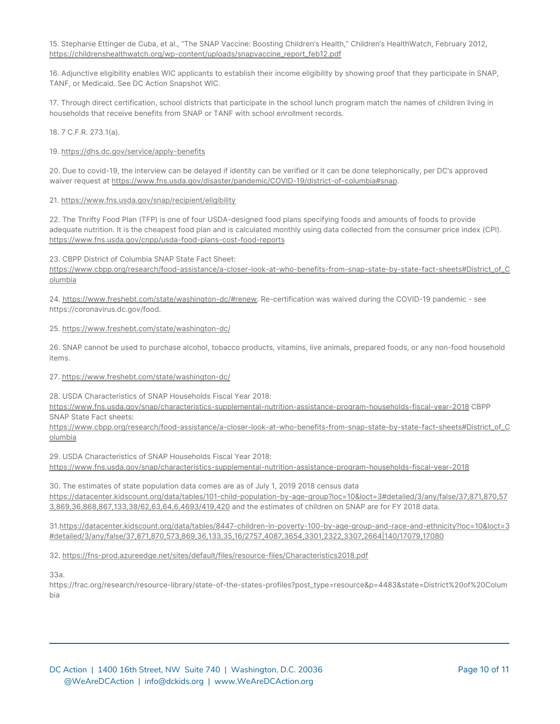15. Stephanie Ettinger de Cuba, et al., "The SNAP Vaccine: Boosting Children's Health," Children's HealthWatch, February 2012, [https://childrenshealthwatch.org/wp-content/uploads/snapvaccine\\_report\\_feb12.pdf](https://childrenshealthwatch.org/wp-content/uploads/snapvaccine_report_feb12.pdf)

16. Adjunctive eligibility enables WIC applicants to establish their income eligibility by showing proof that they participate in SNAP, TANF, or Medicaid. See DC Action Snapshot WIC.

17. Through direct certification, school districts that participate in the school lunch program match the names of children living in households that receive benefits from SNAP or TANF with school enrollment records.

18. 7 C.F.R. 273.1(a).

#### 19. <https://dhs.dc.gov/service/apply-benefits>

20. Due to covid-19, the interview can be delayed if identity can be verified or it can be done telephonically, per DC's approved waiver request at [https://www.fns.usda.gov/disaster/pandemic/COVID-19/district-of-columbia#snap](https://www.fns.usda.gov/disaster/pandemic/covid-19/district-of-columbia#snap).

#### 21. <https://www.fns.usda.gov/snap/recipient/eligibility>

22. The Thrifty Food Plan (TFP) is one of four USDA-designed food plans specifying foods and amounts of foods to provide adequate nutrition. It is the cheapest food plan and is calculated monthly using data collected from the consumer price index (CPI). <https://www.fns.usda.gov/cnpp/usda-food-plans-cost-food-reports>

23. CBPP District of Columbia SNAP State Fact Sheet:

[https://www.cbpp.org/research/food-assistance/a-closer-look-at-who-benefits-from-snap-state-by-state-fact-sheets#District\\_of\\_C](https://www.cbpp.org/research/food-assistance/a-closer-look-at-who-benefits-from-snap-state-by-state-fact-sheets#District_of_Columbia) [olumbia](https://www.cbpp.org/research/food-assistance/a-closer-look-at-who-benefits-from-snap-state-by-state-fact-sheets#District_of_Columbia)

24. [https://www.freshebt.com/state/washington-dc/#renew.](https://www.freshebt.com/state/washington-dc/#renew) Re-certification was waived during the COVID-19 pandemic - see https://coronavirus.dc.gov/food.

#### 25. <https://www.freshebt.com/state/washington-dc/>

26. SNAP cannot be used to purchase alcohol, tobacco products, vitamins, live animals, prepared foods, or any non-food household items.

#### 27. <https://www.freshebt.com/state/washington-dc/>

28. USDA Characteristics of SNAP Households Fiscal Year 2018:

<https://www.fns.usda.gov/snap/characteristics-supplemental-nutrition-assistance-program-households-fiscal-year-2018> CBPP SNAP State Fact sheets:

[https://www.cbpp.org/research/food-assistance/a-closer-look-at-who-benefits-from-snap-state-by-state-fact-sheets#District\\_of\\_C](https://www.cbpp.org/research/food-assistance/a-closer-look-at-who-benefits-from-snap-state-by-state-fact-sheets#District_of_Columbia) [olumbia](https://www.cbpp.org/research/food-assistance/a-closer-look-at-who-benefits-from-snap-state-by-state-fact-sheets#District_of_Columbia)

29. USDA Characteristics of SNAP Households Fiscal Year 2018: <https://www.fns.usda.gov/snap/characteristics-supplemental-nutrition-assistance-program-households-fiscal-year-2018>

30. The estimates of state population data comes are as of July 1, 2019 2018 census data [https://datacenter.kidscount.org/data/tables/101-child-population-by-age-group?loc=10&loct=3#detailed/3/any/false/37,871,870,57](https://datacenter.kidscount.org/data/tables/101-child-population-by-age-group?loc=10&loct=3#detailed/3/any/false/37,871,870,573,869,36,868,867,133,38/62,63,64,6,4693/419,420) [3,869,36,868,867,133,38/62,63,64,6,4693/419,420](https://datacenter.kidscount.org/data/tables/101-child-population-by-age-group?loc=10&loct=3#detailed/3/any/false/37,871,870,573,869,36,868,867,133,38/62,63,64,6,4693/419,420) and the estimates of children on SNAP are for FY 2018 data.

31.[https://datacenter.kidscount.org/data/tables/8447-children-in-poverty-100-by-age-group-and-race-and-ethnicity?loc=10&loct=3](https://datacenter.kidscount.org/data/tables/8447-children-in-poverty-100-by-age-group-and-race-and-ethnicity?loc=10&loct=3#detailed/3/any/false/37,871,870,573,869,36,133,35,16/2757,4087,3654,3301,2322,3307,2664%7C140/17079,17080) [#detailed/3/any/false/37,871,870,573,869,36,133,35,16/2757,4087,3654,3301,2322,3307,2664|140/17079,17080](https://datacenter.kidscount.org/data/tables/8447-children-in-poverty-100-by-age-group-and-race-and-ethnicity?loc=10&loct=3#detailed/3/any/false/37,871,870,573,869,36,133,35,16/2757,4087,3654,3301,2322,3307,2664%7C140/17079,17080)

32. <https://fns-prod.azureedge.net/sites/default/files/resource-files/Characteristics2018.pdf>

33a.

https://frac.org/research/resource-library/state-of-the-states-profiles?post\_type=resource&p=4483&state=District%20of%20Colum bia